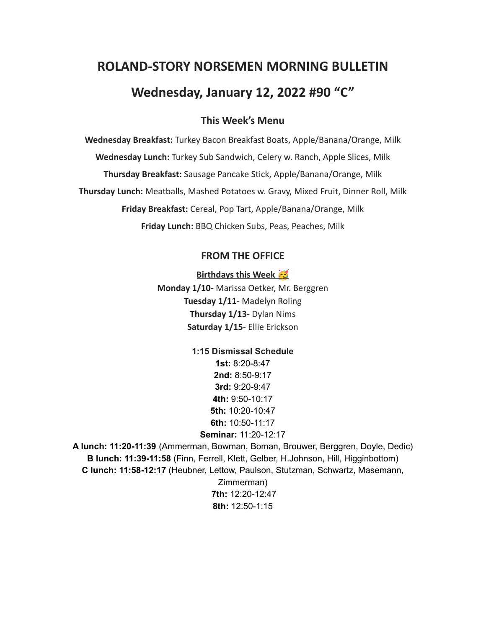# **ROLAND-STORY NORSEMEN MORNING BULLETIN Wednesday, January 12, 2022 #90 "C"**

## **This Week's Menu**

**Wednesday Breakfast:** Turkey Bacon Breakfast Boats, Apple/Banana/Orange, Milk **Wednesday Lunch:** Turkey Sub Sandwich, Celery w. Ranch, Apple Slices, Milk **Thursday Breakfast:** Sausage Pancake Stick, Apple/Banana/Orange, Milk **Thursday Lunch:** Meatballs, Mashed Potatoes w. Gravy, Mixed Fruit, Dinner Roll, Milk **Friday Breakfast:** Cereal, Pop Tart, Apple/Banana/Orange, Milk **Friday Lunch:** BBQ Chicken Subs, Peas, Peaches, Milk

#### **FROM THE OFFICE**

**Birthdays this Week Monday 1/10-** Marissa Oetker, Mr. Berggren **Tuesday 1/11**- Madelyn Roling **Thursday 1/13**- Dylan Nims **Saturday 1/15**- Ellie Erickson

> **1:15 Dismissal Schedule 1st:** 8:20-8:47 **2nd:** 8:50-9:17 **3rd:** 9:20-9:47 **4th:** 9:50-10:17 **5th:** 10:20-10:47 **6th:** 10:50-11:17 **Seminar:** 11:20-12:17

**A lunch: 11:20-11:39** (Ammerman, Bowman, Boman, Brouwer, Berggren, Doyle, Dedic) **B lunch: 11:39-11:58** (Finn, Ferrell, Klett, Gelber, H.Johnson, Hill, Higginbottom) **C lunch: 11:58-12:17** (Heubner, Lettow, Paulson, Stutzman, Schwartz, Masemann, Zimmerman) **7th:** 12:20-12:47 **8th:** 12:50-1:15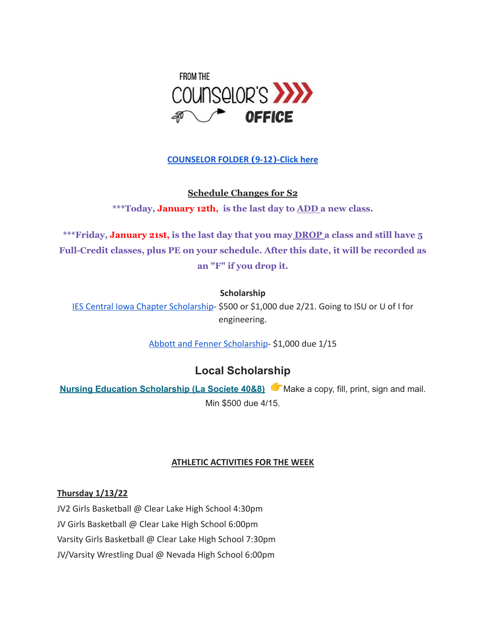

### **[COUNSELOR FOLDER](https://docs.google.com/document/d/1vmwczNPbDzXe9vFaG5LJMQ7NYDv-i4oQJHybqA65TUc/edit?usp=sharing) (9-12)-Click here**

**Schedule Changes for S2**

**\*\*\*Today, January 12th, is the last day to ADD a new class.**

**\*\*\*Friday, January 21st, is the last day that you may DROP a class and still have 5 Full-Credit classes, plus PE on your schedule. After this date, it will be recorded as an "F" if you drop it.**

#### **Scholarship**

[IES Central Iowa Chapter Scholarship](https://drive.google.com/file/d/1TOCO584mY9ObCqCNa6kBs_Yjrn4wPSdj/view?usp=sharing)- \$500 or \$1,000 due 2/21. Going to ISU or U of I for engineering.

[Abbott and Fenner Scholarship-](https://abbottandfenner.com/scholarships.php) \$1,000 due 1/15

# **Local Scholarship**

**Nursing Education [Scholarship](https://docs.google.com/document/d/1xp-Gg2v_kfzzaIsmco9l2tbpQI6T93L71SJzPYrDpOA/edit?usp=sharing) (La Societe 40&8)** Make a copy, fill, print, sign and mail. Min \$500 due 4/15.

#### **ATHLETIC ACTIVITIES FOR THE WEEK**

#### **Thursday 1/13/22**

JV2 Girls Basketball @ Clear Lake High School 4:30pm JV Girls Basketball @ Clear Lake High School 6:00pm Varsity Girls Basketball @ Clear Lake High School 7:30pm JV/Varsity Wrestling Dual @ Nevada High School 6:00pm